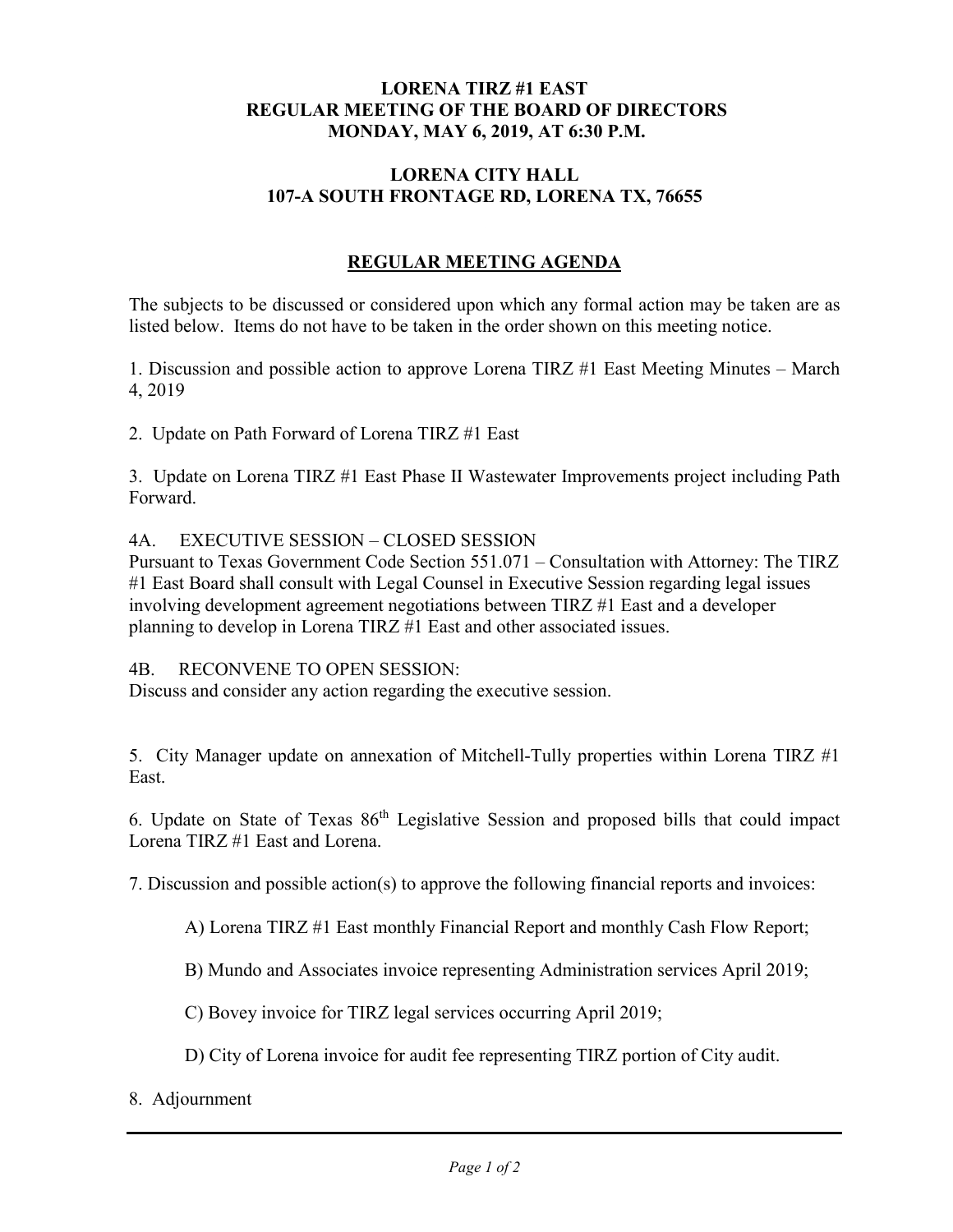## **LORENA TIRZ #1 EAST REGULAR MEETING OF THE BOARD OF DIRECTORS MONDAY, MAY 6, 2019, AT 6:30 P.M.**

## **LORENA CITY HALL 107-A SOUTH FRONTAGE RD, LORENA TX, 76655**

## **REGULAR MEETING AGENDA**

The subjects to be discussed or considered upon which any formal action may be taken are as listed below. Items do not have to be taken in the order shown on this meeting notice.

1. Discussion and possible action to approve Lorena TIRZ #1 East Meeting Minutes – March 4, 2019

2. Update on Path Forward of Lorena TIRZ #1 East

3. Update on Lorena TIRZ #1 East Phase II Wastewater Improvements project including Path Forward.

4A. EXECUTIVE SESSION – CLOSED SESSION

Pursuant to Texas Government Code Section 551.071 – Consultation with Attorney: The TIRZ #1 East Board shall consult with Legal Counsel in Executive Session regarding legal issues involving development agreement negotiations between TIRZ #1 East and a developer planning to develop in Lorena TIRZ #1 East and other associated issues.

4B. RECONVENE TO OPEN SESSION:

Discuss and consider any action regarding the executive session.

5. City Manager update on annexation of Mitchell-Tully properties within Lorena TIRZ #1 East.

6. Update on State of Texas 86th Legislative Session and proposed bills that could impact Lorena TIRZ #1 East and Lorena.

7. Discussion and possible action(s) to approve the following financial reports and invoices:

A) Lorena TIRZ #1 East monthly Financial Report and monthly Cash Flow Report;

B) Mundo and Associates invoice representing Administration services April 2019;

C) Bovey invoice for TIRZ legal services occurring April 2019;

D) City of Lorena invoice for audit fee representing TIRZ portion of City audit.

8. Adjournment